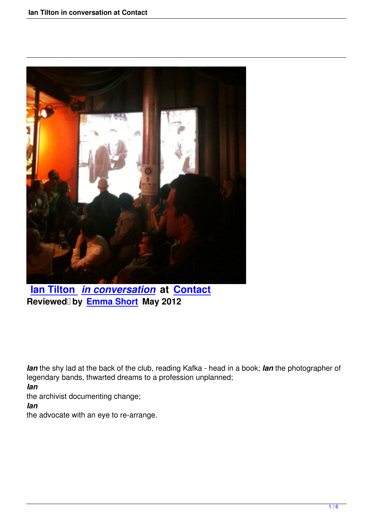

**Ian Tilton** *in conversation* **at Contact** Reviewed by **Emma Short** May 2012

*Ian* the shy lad at the back of the club, reading Kafka - head in a book; *Ian* the photographer of legendary bands, thwarted dreams to a profession unplanned; *Ian*

the archivist documenting change;

*Ian* 

the advocate with an eye to re-arrange.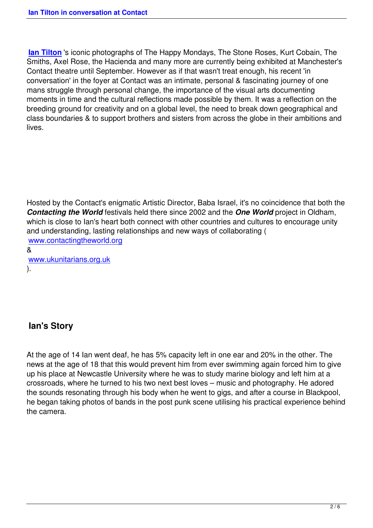**Ian Tilton** 's iconic photographs of The Happy Mondays, The Stone Roses, Kurt Cobain, The Smiths, Axel Rose, the Hacienda and many more are currently being exhibited at Manchester's Contact theatre until September. However as if that wasn't treat enough, his recent 'in [conversatio](http://www.iantilton.net/)n' in the foyer at Contact was an intimate, personal & fascinating journey of one mans struggle through personal change, the importance of the visual arts documenting moments in time and the cultural reflections made possible by them. It was a reflection on the breeding ground for creativity and on a global level, the need to break down geographical and class boundaries & to support brothers and sisters from across the globe in their ambitions and lives.

Hosted by the Contact's enigmatic Artistic Director, Baba Israel, it's no coincidence that both the *Contacting the World* festivals held there since 2002 and the *One World* project in Oldham, which is close to Ian's heart both connect with other countries and cultures to encourage unity and understanding, lasting relationships and new ways of collaborating ( www.contactingtheworld.org &

www.ukunitarians.org.uk [\).](http://www.contactingtheworld.org/) 

## **Ian's Story**

At the age of 14 Ian went deaf, he has 5% capacity left in one ear and 20% in the other. The news at the age of 18 that this would prevent him from ever swimming again forced him to give up his place at Newcastle University where he was to study marine biology and left him at a crossroads, where he turned to his two next best loves – music and photography. He adored the sounds resonating through his body when he went to gigs, and after a course in Blackpool, he began taking photos of bands in the post punk scene utilising his practical experience behind the camera.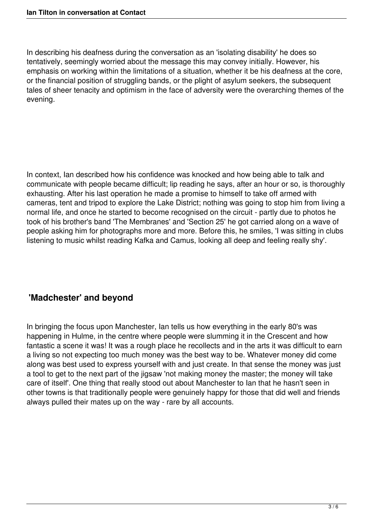In describing his deafness during the conversation as an 'isolating disability' he does so tentatively, seemingly worried about the message this may convey initially. However, his emphasis on working within the limitations of a situation, whether it be his deafness at the core, or the financial position of struggling bands, or the plight of asylum seekers, the subsequent tales of sheer tenacity and optimism in the face of adversity were the overarching themes of the evening.

In context, Ian described how his confidence was knocked and how being able to talk and communicate with people became difficult; lip reading he says, after an hour or so, is thoroughly exhausting. After his last operation he made a promise to himself to take off armed with cameras, tent and tripod to explore the Lake District; nothing was going to stop him from living a normal life, and once he started to become recognised on the circuit - partly due to photos he took of his brother's band 'The Membranes' and 'Section 25' he got carried along on a wave of people asking him for photographs more and more. Before this, he smiles, 'I was sitting in clubs listening to music whilst reading Kafka and Camus, looking all deep and feeling really shy'.

## **'Madchester' and beyond**

In bringing the focus upon Manchester, Ian tells us how everything in the early 80's was happening in Hulme, in the centre where people were slumming it in the Crescent and how fantastic a scene it was! It was a rough place he recollects and in the arts it was difficult to earn a living so not expecting too much money was the best way to be. Whatever money did come along was best used to express yourself with and just create. In that sense the money was just a tool to get to the next part of the jigsaw 'not making money the master; the money will take care of itself'. One thing that really stood out about Manchester to Ian that he hasn't seen in other towns is that traditionally people were genuinely happy for those that did well and friends always pulled their mates up on the way - rare by all accounts.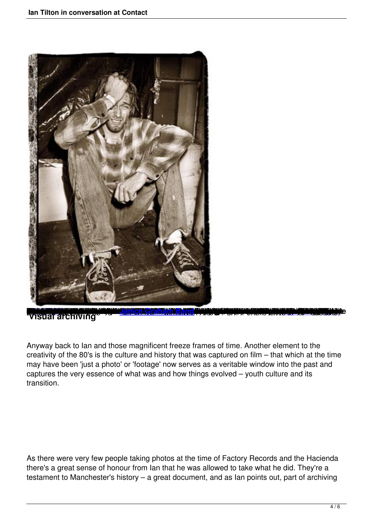

visual archiving

[Anyway ba](http://vimeo.com/20349489)ck to Ian and tho[se magnificent freeze f](http://www.JaniceGrahamBand.com)rames of time. Another ele[ment to the](http://vimeo.com/20349489) creativity of the 80's is the culture and history that was captured on film – that which at the time may have been 'just a photo' or 'footage' now serves as a veritable window into the past and captures the very essence of what was and how things evolved – youth culture and its transition.

As there were very few people taking photos at the time of Factory Records and the Hacienda there's a great sense of honour from Ian that he was allowed to take what he did. They're a testament to Manchester's history – a great document, and as Ian points out, part of archiving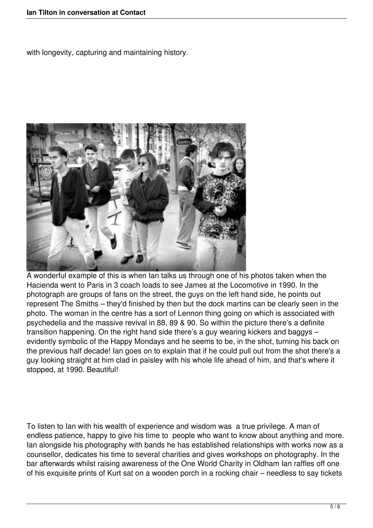with longevity, capturing and maintaining history.



A wonderful example of this is when Ian talks us through one of his photos taken when the Hacienda went to Paris in 3 coach loads to see James at the Locomotive in 1990. In the photograph are groups of fans on the street, the guys on the left hand side, he points out represent The Smiths – they'd finished by then but the dock martins can be clearly seen in the photo. The woman in the centre has a sort of Lennon thing going on which is associated with psychedelia and the massive revival in 88, 89 & 90. So within the picture there's a definite transition happening. On the right hand side there's a guy wearing kickers and baggys – evidently symbolic of the Happy Mondays and he seems to be, in the shot, turning his back on the previous half decade! Ian goes on to explain that if he could pull out from the shot there's a guy looking straight at him clad in paisley with his whole life ahead of him, and that's where it stopped, at 1990. Beautiful!

To listen to Ian with his wealth of experience and wisdom was a true privilege. A man of endless patience, happy to give his time to people who want to know about anything and more. Ian alongside his photography with bands he has established relationships with works now as a counsellor, dedicates his time to several charities and gives workshops on photography. In the bar afterwards whilst raising awareness of the One World Charity in Oldham Ian raffles off one of his exquisite prints of Kurt sat on a wooden porch in a rocking chair – needless to say tickets